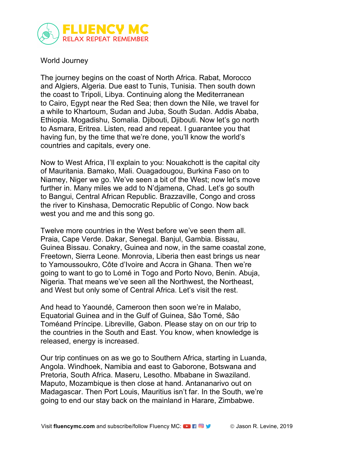

## World Journey

The journey begins on the coast of North Africa. Rabat, Morocco and Algiers, Algeria. Due east to Tunis, Tunisia. Then south down the coast to Tripoli, Libya. Continuing along the Mediterranean to Cairo, Egypt near the Red Sea; then down the Nile, we travel for a while to Khartoum, Sudan and Juba, South Sudan. Addis Ababa, Ethiopia. Mogadishu, Somalia. Djibouti, Djibouti. Now let's go north to Asmara, Eritrea. Listen, read and repeat. I guarantee you that having fun, by the time that we're done, you'll know the world's countries and capitals, every one.

Now to West Africa, I'll explain to you: Nouakchott is the capital city of Mauritania. Bamako, Mali. Ouagadougou, Burkina Faso on to Niamey, Niger we go. We've seen a bit of the West; now let's move further in. Many miles we add to N'djamena, Chad. Let's go south to Bangui, Central African Republic. Brazzaville, Congo and cross the river to Kinshasa, Democratic Republic of Congo. Now back west you and me and this song go.

Twelve more countries in the West before we've seen them all. Praia, Cape Verde. Dakar, Senegal. Banjul, Gambia. Bissau, Guinea Bissau. Conakry, Guinea and now, in the same coastal zone, Freetown, Sierra Leone. Monrovia, Liberia then east brings us near to Yamoussoukro, Côte d'Ivoire and Accra in Ghana. Then we're going to want to go to Lomé in Togo and Porto Novo, Benin. Abuja, Nigeria. That means we've seen all the Northwest, the Northeast, and West but only some of Central Africa. Let's visit the rest.

And head to Yaoundé, Cameroon then soon we're in Malabo, Equatorial Guinea and in the Gulf of Guinea, Sâo Tomé, Sâo Toméand Príncipe. Libreville, Gabon. Please stay on on our trip to the countries in the South and East. You know, when knowledge is released, energy is increased.

Our trip continues on as we go to Southern Africa, starting in Luanda, Angola. Windhoek, Namibia and east to Gaborone, Botswana and Pretoria, South Africa. Maseru, Lesotho. Mbabane in Swaziland. Maputo, Mozambique is then close at hand. Antananarivo out on Madagascar. Then Port Louis, Mauritius isn't far. In the South, we're going to end our stay back on the mainland in Harare, Zimbabwe.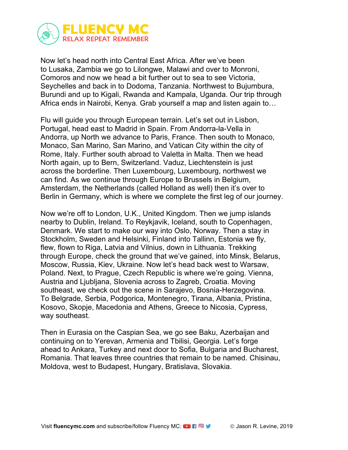

Now let's head north into Central East Africa. After we've been to Lusaka, Zambia we go to Lilongwe, Malawi and over to Monroni, Comoros and now we head a bit further out to sea to see Victoria, Seychelles and back in to Dodoma, Tanzania. Northwest to Bujumbura, Burundi and up to Kigali, Rwanda and Kampala, Uganda. Our trip through Africa ends in Nairobi, Kenya. Grab yourself a map and listen again to…

Flu will guide you through European terrain. Let's set out in Lisbon, Portugal, head east to Madrid in Spain. From Andorra-la-Vella in Andorra, up North we advance to Paris, France. Then south to Monaco, Monaco, San Marino, San Marino, and Vatican City within the city of Rome, Italy. Further south abroad to Valetta in Malta. Then we head North again, up to Bern, Switzerland. Vaduz, Liechtenstein is just across the borderline. Then Luxembourg, Luxembourg, northwest we can find. As we continue through Europe to Brussels in Belgium, Amsterdam, the Netherlands (called Holland as well) then it's over to Berlin in Germany, which is where we complete the first leg of our journey.

Now we're off to London, U.K., United Kingdom. Then we jump islands nearby to Dublin, Ireland. To Reykjavik, Iceland, south to Copenhagen, Denmark. We start to make our way into Oslo, Norway. Then a stay in Stockholm, Sweden and Helsinki, Finland into Tallinn, Estonia we fly, flew, flown to Riga, Latvia and Vilnius, down in Lithuania. Trekking through Europe, check the ground that we've gained, into Minsk, Belarus, Moscow, Russia, Kiev, Ukraine. Now let's head back west to Warsaw, Poland. Next, to Prague, Czech Republic is where we're going. Vienna, Austria and Ljubljana, Slovenia across to Zagreb, Croatia. Moving southeast, we check out the scene in Sarajevo, Bosnia-Herzegovina. To Belgrade, Serbia, Podgorica, Montenegro, Tirana, Albania, Pristina, Kosovo, Skopje, Macedonia and Athens, Greece to Nicosia, Cypress, way southeast.

Then in Eurasia on the Caspian Sea, we go see Baku, Azerbaijan and continuing on to Yerevan, Armenia and Tbilisi, Georgia. Let's forge ahead to Ankara, Turkey and next door to Sofia, Bulgaria and Bucharest, Romania. That leaves three countries that remain to be named. Chisinau, Moldova, west to Budapest, Hungary, Bratislava, Slovakia.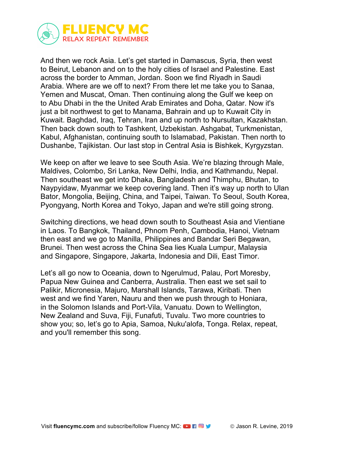

And then we rock Asia. Let's get started in Damascus, Syria, then west to Beirut, Lebanon and on to the holy cities of Israel and Palestine. East across the border to Amman, Jordan. Soon we find Riyadh in Saudi Arabia. Where are we off to next? From there let me take you to Sanaa, Yemen and Muscat, Oman. Then continuing along the Gulf we keep on to Abu Dhabi in the the United Arab Emirates and Doha, Qatar. Now it's just a bit northwest to get to Manama, Bahrain and up to Kuwait City in Kuwait. Baghdad, Iraq, Tehran, Iran and up north to Nursultan, Kazakhstan. Then back down south to Tashkent, Uzbekistan. Ashgabat, Turkmenistan, Kabul, Afghanistan, continuing south to Islamabad, Pakistan. Then north to Dushanbe, Tajikistan. Our last stop in Central Asia is Bishkek, Kyrgyzstan.

We keep on after we leave to see South Asia. We're blazing through Male, Maldives, Colombo, Sri Lanka, New Delhi, India, and Kathmandu, Nepal. Then southeast we get into Dhaka, Bangladesh and Thimphu, Bhutan, to Naypyidaw, Myanmar we keep covering land. Then it's way up north to Ulan Bator, Mongolia, Beijing, China, and Taipei, Taiwan. To Seoul, South Korea, Pyongyang, North Korea and Tokyo, Japan and we're still going strong.

Switching directions, we head down south to Southeast Asia and Vientiane in Laos. To Bangkok, Thailand, Phnom Penh, Cambodia, Hanoi, Vietnam then east and we go to Manilla, Philippines and Bandar Seri Begawan, Brunei. Then west across the China Sea lies Kuala Lumpur, Malaysia and Singapore, Singapore, Jakarta, Indonesia and Dili, East Timor.

Let's all go now to Oceania, down to Ngerulmud, Palau, Port Moresby, Papua New Guinea and Canberra, Australia. Then east we set sail to Palikir, Micronesia, Majuro, Marshall Islands, Tarawa, Kiribati. Then west and we find Yaren, Nauru and then we push through to Honiara, in the Solomon Islands and Port-Vila, Vanuatu. Down to Wellington, New Zealand and Suva, Fiji, Funafuti, Tuvalu. Two more countries to show you; so, let's go to Apia, Samoa, Nuku'alofa, Tonga. Relax, repeat, and you'll remember this song.